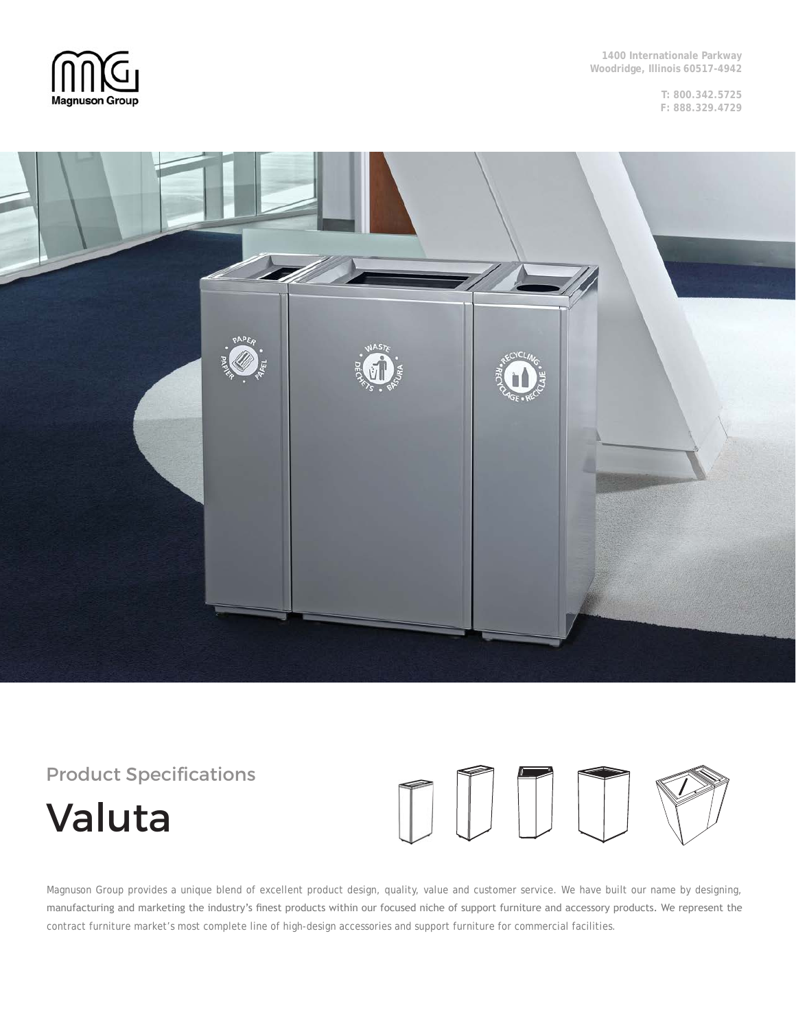

**1400 Internationale Parkway Woodridge, Illinois 60517-4942**

> **T: 800.342.5725 F: 888.329.4729**



# Product Specifications

# Valuta



Magnuson Group provides a unique blend of excellent product design, quality, value and customer service. We have built our name by designing, manufacturing and marketing the industry's finest products within our focused niche of support furniture and accessory products. We represent the contract furniture market's most complete line of high-design accessories and support furniture for commercial facilities.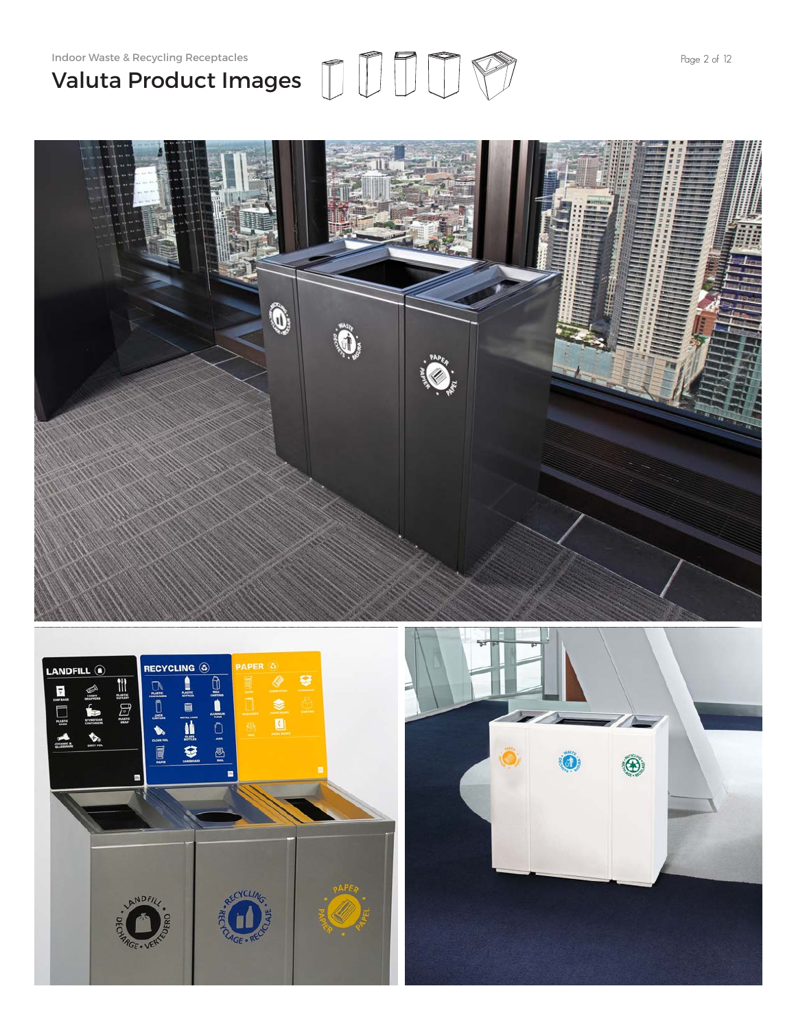# Indoor Waste & Recycling Receptacles **Page 2 of 12** Valuta Product Images





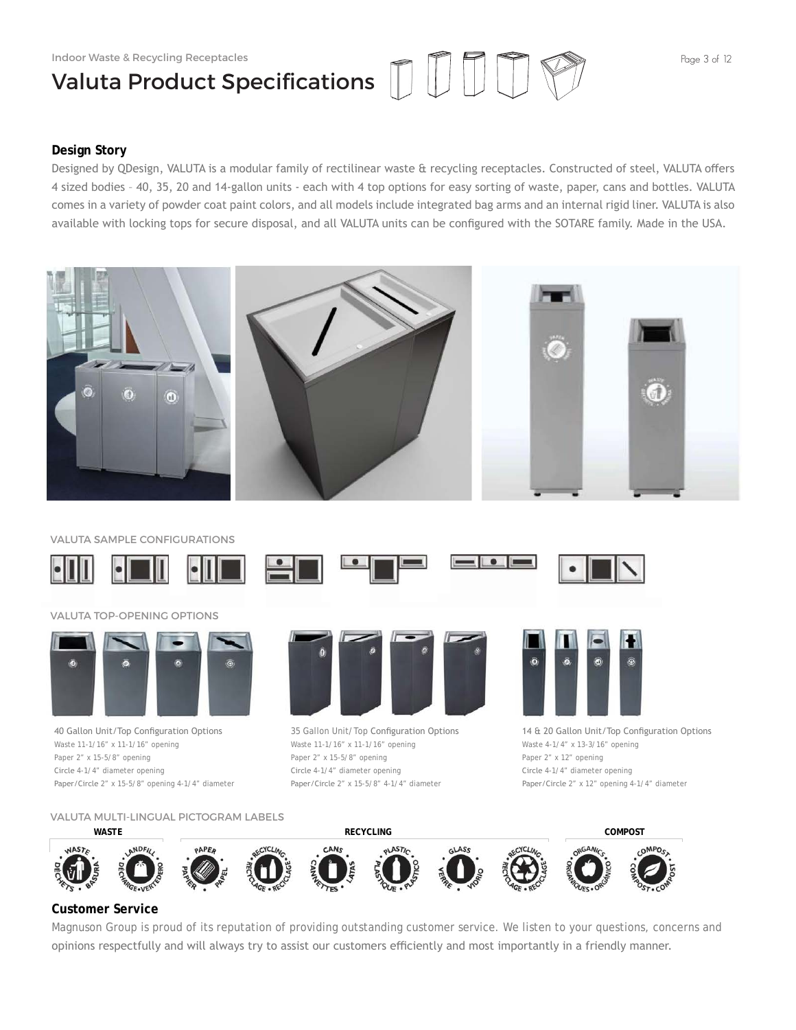# Valuta Product Specifications

# **Design Story**

Designed by QDesign, VALUTA is a modular family of rectilinear waste & recycling receptacles. Constructed of steel, VALUTA offers 4 sized bodies – 40, 35, 20 and 14-gallon units - each with 4 top options for easy sorting of waste, paper, cans and bottles. VALUTA comes in a variety of powder coat paint colors, and all models include integrated bag arms and an internal rigid liner. VALUTA is also available with locking tops for secure disposal, and all VALUTA units can be configured with the SOTARE family. Made in the USA.



VALUTA SAMPLE CONFIGURATIONS



# VALUTA TOP-OPENING OPTIONS



40 Gallon Unit/Top Configuration Options Waste 11-1/16" x 11-1/16" opening Paper 2" x 15-5/8" opening Circle 4-1/4" diameter opening Paper/Circle 2" x 15-5/8" opening 4-1/4" diameter



35 Gallon Unit/Top Configuration Options Waste 11-1/16" x 11-1/16" opening Paper 2" x 15-5/8" opening Circle 4-1/4" diameter opening Paper/Circle 2" x 15-5/8" 4-1/4" diameter



14 & 20 Gallon Unit/Top Configuration Options Waste 4-1/4" x 13-3/16" opening Paper 2" x 12" opening Circle 4-1/4" diameter opening Paper/Circle 2" x 12" opening 4-1/4" diameter

VALUTA MULTI-LINGUAL PICTOGRAM LABELS



# **Customer Service**

Magnuson Group is proud of its reputation of providing outstanding customer service. We listen to your questions, concerns and opinions respectfully and will always try to assist our customers efficiently and most importantly in a friendly manner.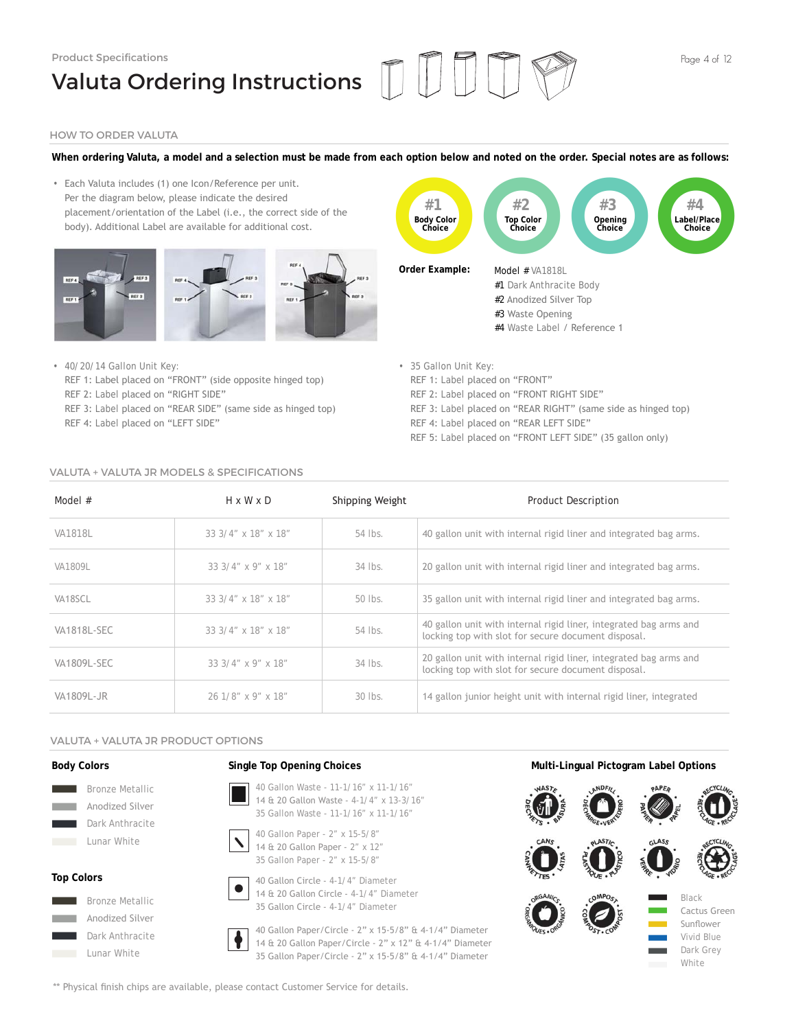# Product Specifications Valuta Ordering Instructions ||



# HOW TO ORDER VALUTA

# **When ordering Valuta, a model and a selection must be made from each option below and noted on the order. Special notes are as follows:**

• Each Valuta includes (1) one Icon/Reference per unit. Per the diagram below, please indicate the desired placement/orientation of the Label (i.e., the correct side of the body). Additional Label are available for additional cost.





- 40/20/14 Gallon Unit Key: REF 1: Label placed on "FRONT" (side opposite hinged top) REF 2: Label placed on "RIGHT SIDE" REF 3: Label placed on "REAR SIDE" (same side as hinged top) REF 4: Label placed on "LEFT SIDE"
- 35 Gallon Unit Key:
	- REF 1: Label placed on "FRONT"
	- REF 2: Label placed on "FRONT RIGHT SIDE"
	- REF 3: Label placed on "REAR RIGHT" (same side as hinged top)
- REF 4: Label placed on "REAR LEFT SIDE"
	- REF 5: Label placed on "FRONT LEFT SIDE" (35 gallon only)

# VALUTA + VALUTA JR MODELS & SPECIFICATIONS

| Model #            | $H \times W \times D$ | Shipping Weight | <b>Product Description</b>                                                                                               |
|--------------------|-----------------------|-----------------|--------------------------------------------------------------------------------------------------------------------------|
| VA1818L            | 33 3/4" x 18" x 18"   | 54 lbs.         | 40 gallon unit with internal rigid liner and integrated bag arms.                                                        |
| VA1809L            | $33.3/4''$ x 9" x 18" | $34$ lbs.       | 20 gallon unit with internal rigid liner and integrated bag arms.                                                        |
| VA18SCL            | 33 3/4" x 18" x 18"   | 50 lbs.         | 35 gallon unit with internal rigid liner and integrated bag arms.                                                        |
| <b>VA1818L-SEC</b> | 33 3/4" x 18" x 18"   | 54 lbs.         | 40 gallon unit with internal rigid liner, integrated bag arms and<br>locking top with slot for secure document disposal. |
| VA1809L-SEC        | $33.3/4''$ x 9" x 18" | $34$ lbs.       | 20 gallon unit with internal rigid liner, integrated bag arms and<br>locking top with slot for secure document disposal. |
| VA1809L-JR         | 26 1/8" x 9" x 18"    | $30$ lbs.       | 14 gallon junior height unit with internal rigid liner, integrated                                                       |

# VALUTA + VALUTA JR PRODUCT OPTIONS

# **Body Colors**



# Dark Anthracite

# **Top Colors**









40 Gallon Circle - 4-1/4" Diameter 14 & 20 Gallon Circle - 4-1/4" Diameter 35 Gallon Circle - 4-1/4" Diameter

40 Gallon Paper/Circle - 2" x 15-5/8" & 4-1/4" Diameter 14 & 20 Gallon Paper/Circle - 2" x 12" & 4-1/4" Diameter 35 Gallon Paper/Circle - 2" x 15-5/8" & 4-1/4" Diameter

# **Single Top Opening Choices Multi-Lingual Pictogram Label Options**



\*\* Physical finish chips are available, please contact Customer Service for details.

 $\boldsymbol{\mathcal{L}}$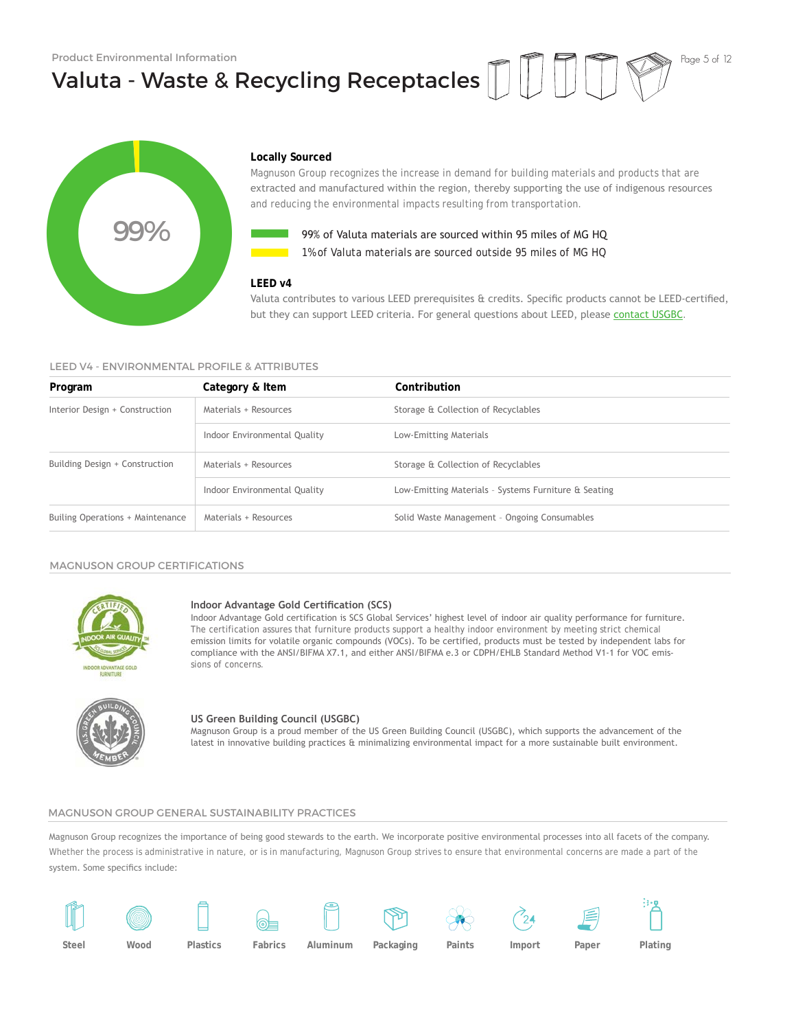Valuta - Waste & Recycling Receptacles





# **Locally Sourced**

Magnuson Group recognizes the increase in demand for building materials and products that are extracted and manufactured within the region, thereby supporting the use of indigenous resources and reducing the environmental impacts resulting from transportation.



**1%** of Valuta materials are sourced outside 95 miles of MG HQ 99% of Valuta materials are sourced within 95 miles of MG HQ

# **LEED v4**

# LEED V4 - ENVIRONMENTAL PROFILE & ATTRIBUTES

|                                              |                                                                 | 99% of Valuta materials are sourced within 95 miles of MG HO<br>1% of Valuta materials are sourced outside 95 miles of MG HO                                                                                                                                                                                                                                                                                                                                                                 |
|----------------------------------------------|-----------------------------------------------------------------|----------------------------------------------------------------------------------------------------------------------------------------------------------------------------------------------------------------------------------------------------------------------------------------------------------------------------------------------------------------------------------------------------------------------------------------------------------------------------------------------|
| LEED V4 - ENVIRONMENTAL PROFILE & ATTRIBUTES | LEED v4                                                         | Valuta contributes to various LEED prerequisites & credits. Specific products cannot be LEED-certified,<br>but they can support LEED criteria. For general questions about LEED, please contact USGBC.                                                                                                                                                                                                                                                                                       |
| Program                                      | Category & Item                                                 | Contribution                                                                                                                                                                                                                                                                                                                                                                                                                                                                                 |
| Interior Design + Construction               | Materials + Resources                                           | Storage & Collection of Recyclables                                                                                                                                                                                                                                                                                                                                                                                                                                                          |
|                                              | Indoor Environmental Quality                                    | Low-Emitting Materials                                                                                                                                                                                                                                                                                                                                                                                                                                                                       |
| Building Design + Construction               | Materials + Resources                                           | Storage & Collection of Recyclables                                                                                                                                                                                                                                                                                                                                                                                                                                                          |
|                                              | Indoor Environmental Quality                                    | Low-Emitting Materials - Systems Furniture & Seating                                                                                                                                                                                                                                                                                                                                                                                                                                         |
| Builing Operations + Maintenance             | Materials + Resources                                           | Solid Waste Management - Ongoing Consumables                                                                                                                                                                                                                                                                                                                                                                                                                                                 |
| <b>MAGNUSON GROUP CERTIFICATIONS</b>         |                                                                 |                                                                                                                                                                                                                                                                                                                                                                                                                                                                                              |
| <b>FLIRNITIIRE</b>                           | Indoor Advantage Gold Certification (SCS)<br>sions of concerns. | Indoor Advantage Gold certification is SCS Global Services' highest level of indoor air quality performance for furniture.<br>The certification assures that furniture products support a healthy indoor environment by meeting strict chemical<br>emission limits for volatile organic compounds (VOCs). To be certified, products must be tested by independent labs for<br>compliance with the ANSI/BIFMA X7.1, and either ANSI/BIFMA e.3 or CDPH/EHLB Standard Method V1-1 for VOC emis- |
|                                              | US Green Building Council (USGBC)                               | Magnuson Group is a proud member of the US Green Building Council (USGBC), which supports the advancement of the<br>latest in innovative building practices & minimalizing environmental impact for a more sustainable built environment.                                                                                                                                                                                                                                                    |

### MAGNUSON GROUP CERTIFICATIONS



#### **Indoor Advantage Gold Certification (SCS)**



# **US Green Building Council (USGBC)**

Magnuson Group is a proud member of the US Green Building Council (USGBC), which supports the advancement of the

# MAGNUSON GROUP GENERAL SUSTAINABILITY PRACTICES

Magnuson Group recognizes the importance of being good stewards to the earth. We incorporate positive environmental processes into all facets of the company. Whether the process is administrative in nature, or is in manufacturing, Magnuson Group strives to ensure that environmental concerns are made a part of the system. Some specifics include:

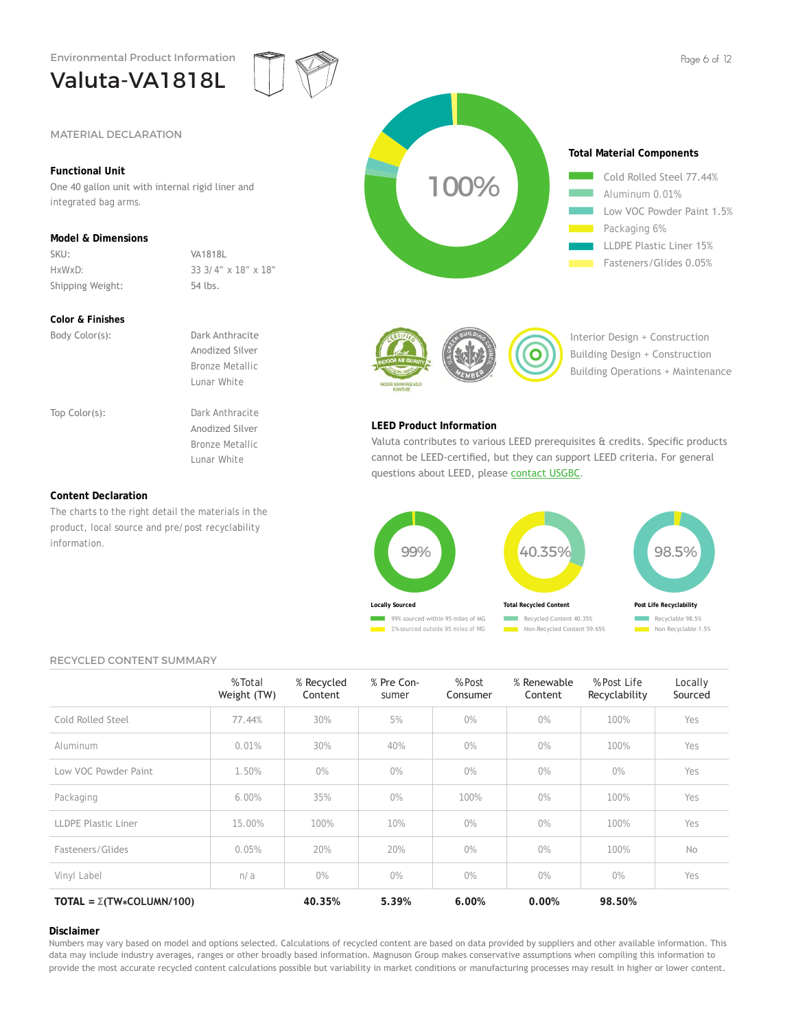

# **Functional Unit**

One 40 gallon unit with internal rigid liner and integrated bag arms.

# **Model & Dimensions**

SKU: VA1818L Shipping Weight: 54 lbs.

HxWxD: 33 3/4" x 18" x 18"

# **Color & Finishes**

Body Color(s): Dark Anthracite Anodized Silver Bronze Metallic Lunar White Top Color(s): Dark Anthracite Anodized Silver Bronze Metallic Lunar White

# **Content Declaration**

The charts to the right detail the materials in the product, local source and pre/post recyclability information.





Interior Design + Construction Building Design + Construction Building Operations + Maintenance

# **LEED Product Information**

Valuta contributes to various LEED prerequisites & credits. Specific products cannot be LEED-certified, but they can support LEED criteria. For general questions about LEED, please contact USGBC.



# RECYCLED CONTENT SUMMARY

|                                       | % Total<br>Weight (TW) | % Recycled<br>Content | % Pre Con-<br>sumer | % Post<br>Consumer | % Renewable<br>Content | % Post Life<br>Recyclability | Locally<br>Sourced |
|---------------------------------------|------------------------|-----------------------|---------------------|--------------------|------------------------|------------------------------|--------------------|
| Cold Rolled Steel                     | 77.44%                 | 30%                   | 5%                  | $0\%$              | 0%                     | 100%                         | Yes                |
| Aluminum                              | 0.01%                  | 30%                   | 40%                 | $0\%$              | $0\%$                  | 100%                         | Yes                |
| Low VOC Powder Paint                  | 1.50%                  | $0\%$                 | $0\%$               | $0\%$              | $0\%$                  | $0\%$                        | Yes                |
| Packaging                             | 6.00%                  | 35%                   | $0\%$               | 100%               | 0%                     | 100%                         | Yes                |
| LLDPE Plastic Liner                   | 15.00%                 | 100%                  | 10%                 | 0%                 | O%                     | 100%                         | Yes                |
| Fasteners/Glides                      | 0.05%                  | 20%                   | 20%                 | 0%                 | 0%                     | 100%                         | No                 |
| Vinyl Label                           | n/a                    | $0\%$                 | $0\%$               | 0%                 | 0%                     | O%                           | Yes                |
| TOTAL = $\Sigma(TW \star COLUMN/100)$ |                        | 40.35%                | 5.39%               | 6.00%              | 0.00%                  | 98.50%                       |                    |

### **Disclaimer**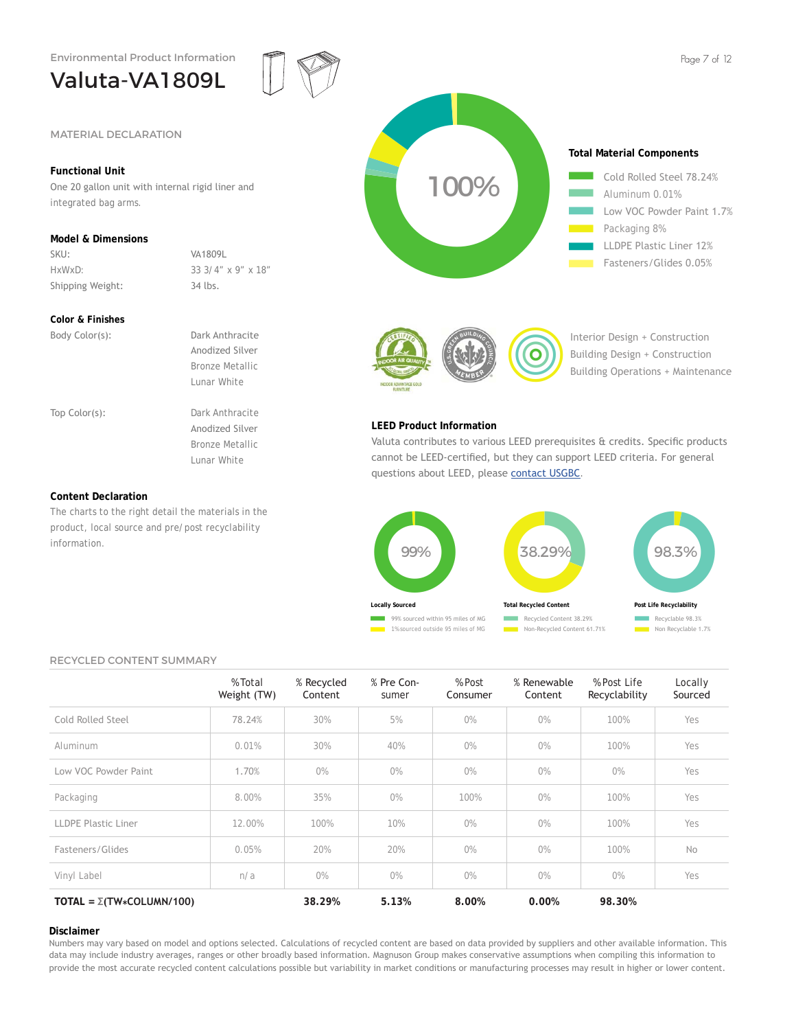One 20 gallon unit with internal rigid liner and

HxWxD: 33 3/4" x 9" x 18"

The charts to the right detail the materials in the product, local source and pre/post recyclability

SKU: VA1809L

Shipping Weight: 34 lbs.

# Valuta-VA1809L





# **Color & Finishes**

**Content Declaration**

information.

**Functional Unit**

integrated bag arms.

**Model & Dimensions**

| Body Color(s): | Dark Anthracite        |  |
|----------------|------------------------|--|
|                | Anodized Silver        |  |
|                | <b>Bronze Metallic</b> |  |
|                | Lunar White            |  |
|                |                        |  |
| Top Color(s):  | Dark Anthracite        |  |
|                | Anodized Silver        |  |
|                | <b>Bronze Metallic</b> |  |
|                | Lunar White            |  |
|                |                        |  |
|                |                        |  |

Interior Design + Construction Building Design + Construction Building Operations + Maintenance

# **LEED Product Information**

Valuta contributes to various LEED prerequisites & credits. Specific products cannot be LEED-certified, but they can support LEED criteria. For general questions about LEED, please contact USGBC.



Non-Recycled Content 61.71%

Recyclable 98.3% Non Recyclable 1.7%

# RECYCLED CONTENT SUMMARY

|                                       | % Total<br>Weight (TW) | % Recycled<br>Content | % Pre Con-<br>sumer | % Post<br>Consumer | % Renewable<br>Content | % Post Life<br>Recyclability | Locally<br>Sourced |
|---------------------------------------|------------------------|-----------------------|---------------------|--------------------|------------------------|------------------------------|--------------------|
| Cold Rolled Steel                     | 78.24%                 | 30%                   | 5%                  | $0\%$              | 0%                     | 100%                         | Yes                |
| Aluminum                              | 0.01%                  | 30%                   | 40%                 | $0\%$              | O%                     | 100%                         | Yes                |
| Low VOC Powder Paint                  | 1.70%                  | $0\%$                 | $0\%$               | $0\%$              | O%                     | 0%                           | Yes                |
| Packaging                             | 8.00%                  | 35%                   | 0%                  | 100%               | 0%                     | 100%                         | Yes                |
| <b>LLDPE Plastic Liner</b>            | 12.00%                 | 100%                  | 10%                 | $0\%$              | $0\%$                  | 100%                         | Yes                |
| Fasteners/Glides                      | 0.05%                  | 20%                   | 20%                 | $0\%$              | O%                     | 100%                         | No                 |
| Vinyl Label                           | n/a                    | 0%                    | 0%                  | $0\%$              | $0\%$                  | 0%                           | Yes                |
| TOTAL = $\Sigma(TW \star COLUMN/100)$ |                        | 38.29%                | 5.13%               | 8.00%              | 0.00%                  | 98.30%                       |                    |

## **Disclaimer**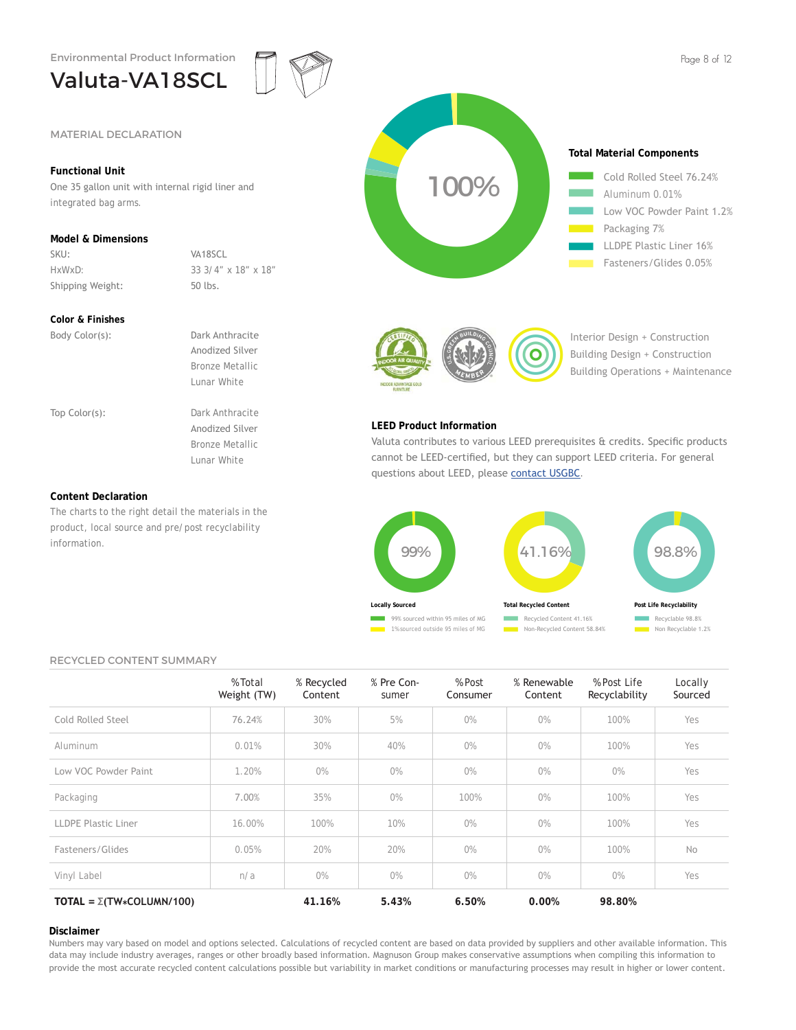# Valuta-VA18SCL



# **Functional Unit**

One 35 gallon unit with internal rigid liner and integrated bag arms.

# **Model & Dimensions**

SKU: VA18SCL Shipping Weight: 50 lbs.

HxWxD: 33 3/4" x 18" x 18"

# **Color & Finishes**

| Body Color(s): | Dark Anthracite        |  |
|----------------|------------------------|--|
|                | Anodized Silver        |  |
|                | <b>Bronze Metallic</b> |  |
|                | Lunar White            |  |
|                |                        |  |
| Top Color(s):  | Dark Anthracite        |  |
|                | Anodized Silver        |  |
|                | <b>Bronze Metallic</b> |  |
|                | Lunar White            |  |
|                |                        |  |
|                |                        |  |

# **Content Declaration**

The charts to the right detail the materials in the product, local source and pre/post recyclability information.





Interior Design + Construction Building Design + Construction Building Operations + Maintenance

# **LEED Product Information**

Valuta contributes to various LEED prerequisites & credits. Specific products cannot be LEED-certified, but they can support LEED criteria. For general questions about LEED, please contact USGBC.



# RECYCLED CONTENT SUMMARY

|                                       | % Total<br>Weight (TW) | % Recycled<br>Content | % Pre Con-<br>sumer | % Post<br>Consumer | % Renewable<br>Content | % Post Life<br>Recyclability | Locally<br>Sourced |
|---------------------------------------|------------------------|-----------------------|---------------------|--------------------|------------------------|------------------------------|--------------------|
| Cold Rolled Steel                     | 76.24%                 | 30%                   | 5%                  | $0\%$              | $0\%$                  | 100%                         | Yes                |
| Aluminum                              | 0.01%                  | 30%                   | 40%                 | $0\%$              | $0\%$                  | 100%                         | Yes                |
| Low VOC Powder Paint                  | 1.20%                  | $0\%$                 | $0\%$               | $0\%$              | O%                     | $0\%$                        | Yes                |
| Packaging                             | 7.00%                  | 35%                   | $0\%$               | 100%               | O%                     | 100%                         | Yes                |
| LLDPE Plastic Liner                   | 16.00%                 | 100%                  | 10%                 | $0\%$              | O%                     | 100%                         | Yes                |
| Fasteners/Glides                      | 0.05%                  | 20%                   | 20%                 | $0\%$              | O%                     | 100%                         | No                 |
| Vinyl Label                           | n/a                    | $0\%$                 | $0\%$               | $0\%$              | $0\%$                  | $0\%$                        | Yes                |
| TOTAL = $\Sigma(TW \star COLUMN/100)$ |                        | 41.16%                | 5.43%               | 6.50%              | 0.00%                  | 98.80%                       |                    |

### **Disclaimer**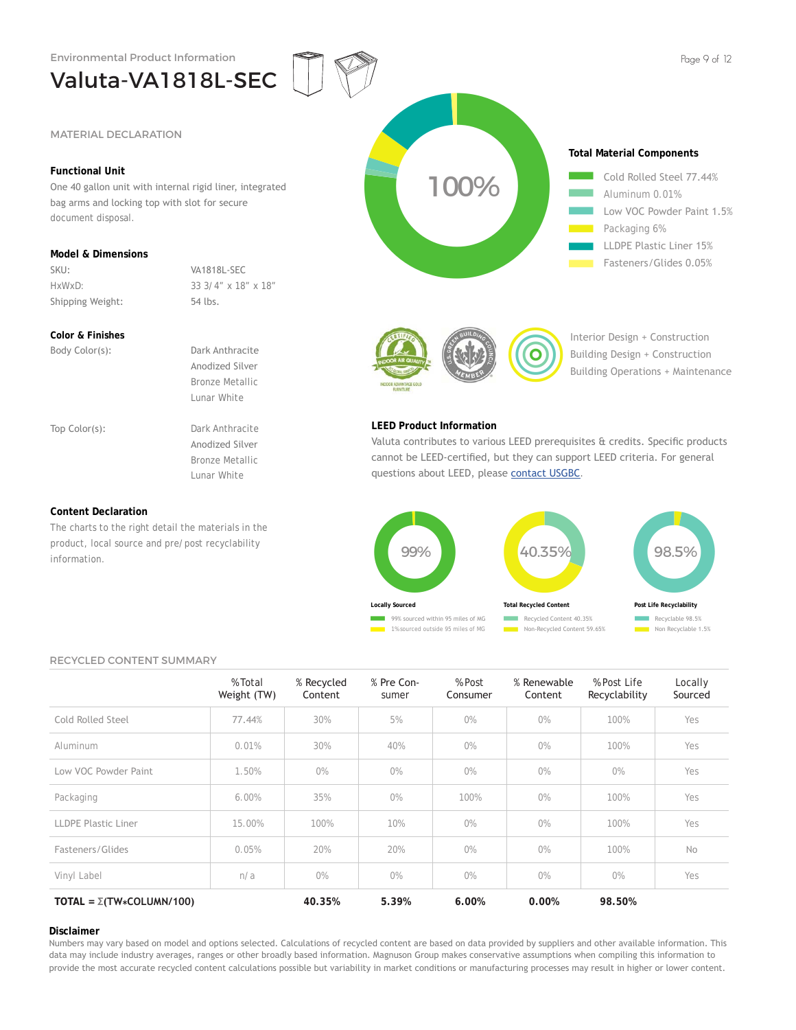Valuta-VA1818L-SEC

# **Functional Unit**

One 40 gallon unit with internal rigid liner, integrated bag arms and locking top with slot for secure document disposal.

# **Model & Dimensions**

SKU: VA1818L-SEC

HxWxD: 33 3/4" x 18" x 18" Shipping Weight: 54 lbs.

# **Color & Finishes**

Body Color(s): Dark Anthracite Anodized Silver Bronze Metallic Lunar White Top Color(s): Dark Anthracite

 Anodized Silver Bronze Metallic Lunar White

# **Content Declaration**

The charts to the right detail the materials in the product, local source and pre/post recyclability information.



Fasteners/Glides 0.05%



Interior Design + Construction Building Design + Construction Building Operations + Maintenance

# **LEED Product Information**

Valuta contributes to various LEED prerequisites & credits. Specific products cannot be LEED-certified, but they can support LEED criteria. For general questions about LEED, please contact USGBC.



## RECYCLED CONTENT SUMMARY

|                                       | % Total<br>Weight (TW) | % Recycled<br>Content | % Pre Con-<br>sumer | % Post<br>Consumer | % Renewable<br>Content | % Post Life<br>Recyclability | Locally<br>Sourced |
|---------------------------------------|------------------------|-----------------------|---------------------|--------------------|------------------------|------------------------------|--------------------|
| Cold Rolled Steel                     | 77.44%                 | 30%                   | 5%                  | $0\%$              | 0%                     | 100%                         | Yes                |
| Aluminum                              | 0.01%                  | 30%                   | 40%                 | O%                 | 0%                     | 100%                         | Yes                |
| Low VOC Powder Paint                  | 1.50%                  | $0\%$                 | $0\%$               | $0\%$              | $0\%$                  | $0\%$                        | Yes                |
| Packaging                             | 6.00%                  | 35%                   | $0\%$               | 100%               | O%                     | 100%                         | Yes                |
| LLDPE Plastic Liner                   | 15.00%                 | 100%                  | 10%                 | O%                 | O%                     | 100%                         | Yes                |
| Fasteners/Glides                      | 0.05%                  | 20%                   | 20%                 | $0\%$              | 0%                     | 100%                         | No                 |
| Vinyl Label                           | n/a                    | $0\%$                 | $0\%$               | $0\%$              | $0\%$                  | $0\%$                        | Yes                |
| TOTAL = $\Sigma(TW \star COLUMN/100)$ |                        | 40.35%                | 5.39%               | 6.00%              | 0.00%                  | 98.50%                       |                    |

### **Disclaimer**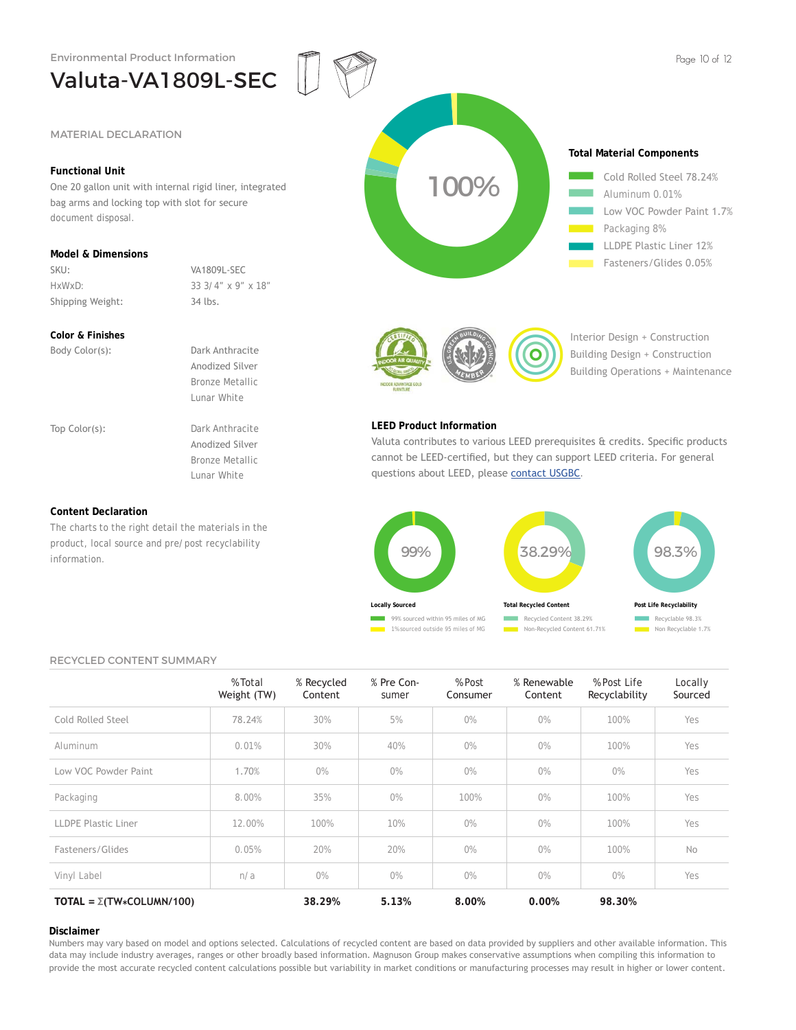Valuta-VA1809L-SEC

# **Functional Unit**

Valuta-VA1809L-SEC<br>
MATERIAL DECLARATION<br>
Functional Unit<br>
Sone 20 gallou unit with internal rigid liner, integrated<br>
bag arms and locking top with slot for secure<br>
document disposal.<br>
Model & Dimensions<br>
Sive:<br>
Shipping W One 20 gallon unit with internal rigid liner, integrated bag arms and locking top with slot for secure document disposal.

# **Model & Dimensions**

SKU: VA1809L-SEC

HxWxD: 33 3/4" x 9" x 18" Shipping Weight: 34 lbs.

# **Color & Finishes**

Body Color(s): Dark Anthracite Anodized Silver Bronze Metallic Lunar White Top Color(s): Dark Anthracite

 Anodized Silver Bronze Metallic Lunar White

# **Content Declaration**

The charts to the right detail the materials in the product, local source and pre/post recyclability information.

2525+25+ 2525 Aluminum 0.01% Low VOC Powder Paint 1.7% Packaging 8% LLDPE Plastic Liner 12% Fasteners/Glides 0.05%



Interior Design + Construction Building Design + Construction Building Operations + Maintenance

# **LEED Product Information**

Valuta contributes to various LEED prerequisites & credits. Specific products cannot be LEED-certified, but they can support LEED criteria. For general questions about LEED, please contact USGBC.



### RECYCLED CONTENT SUMMARY

|                                       | % Total<br>Weight (TW) | % Recycled<br>Content | % Pre Con-<br>sumer | % Post<br>Consumer | % Renewable<br>Content | % Post Life<br>Recyclability | Locally<br>Sourced |
|---------------------------------------|------------------------|-----------------------|---------------------|--------------------|------------------------|------------------------------|--------------------|
| Cold Rolled Steel                     | 78.24%                 | 30%                   | 5%                  | $0\%$              | $0\%$                  | 100%                         | Yes                |
| Aluminum                              | 0.01%                  | 30%                   | 40%                 | $0\%$              | $0\%$                  | 100%                         | Yes                |
| Low VOC Powder Paint                  | 1.70%                  | $0\%$                 | $0\%$               | $0\%$              | $0\%$                  | O%                           | Yes                |
| Packaging                             | 8.00%                  | 35%                   | $0\%$               | 100%               | $0\%$                  | 100%                         | Yes                |
| LLDPE Plastic Liner                   | 12.00%                 | 100%                  | 10%                 | $0\%$              | O%                     | 100%                         | Yes                |
| Fasteners/Glides                      | 0.05%                  | 20%                   | 20%                 | $0\%$              | $0\%$                  | 100%                         | No                 |
| Vinyl Label                           | n/a                    | 0%                    | $0\%$               | $0\%$              | $0\%$                  | 0%                           | Yes                |
| TOTAL = $\Sigma(TW \star COLUMN/100)$ |                        | 38.29%                | 5.13%               | 8.00%              | 0.00%                  | 98.30%                       |                    |

### **Disclaimer**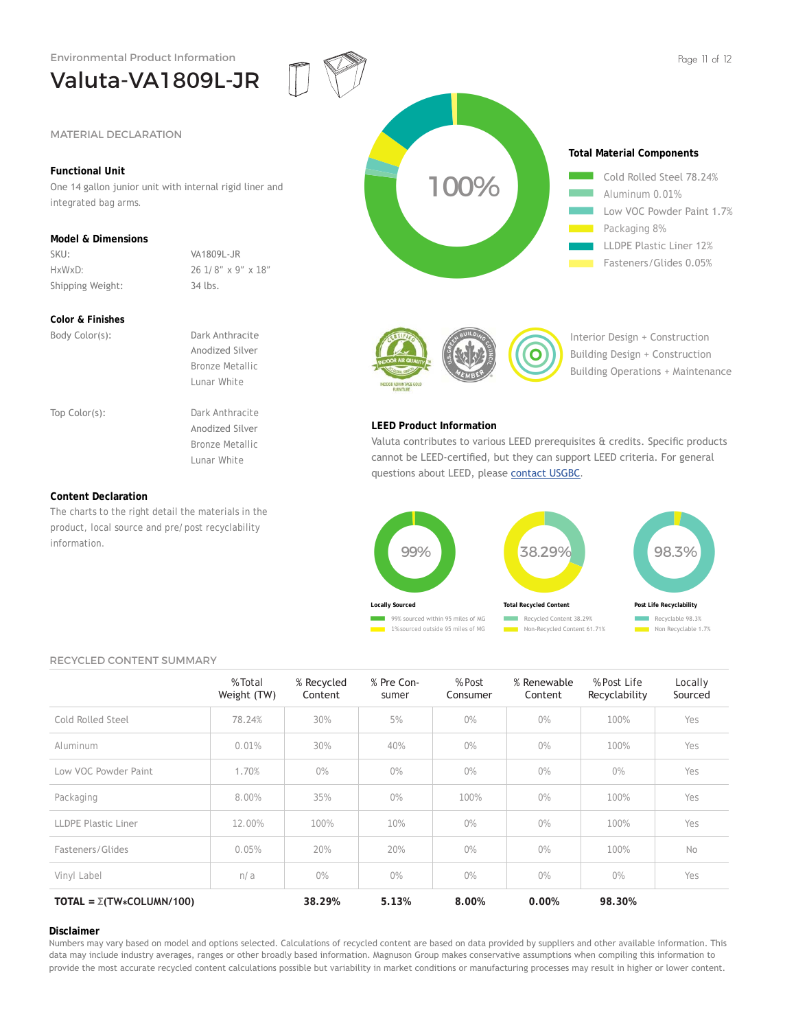Valuta-VA1809L-JR

# **Functional Unit**

One 14 gallon junior unit with internal rigid liner and integrated bag arms.

# **Model & Dimensions**

SKU: VA1809L-JR Shipping Weight: 34 lbs.

HxWxD: 26 1/8" x 9" x 18"

# **Color & Finishes**

Body Color(s): Dark Anthracite Anodized Silver Bronze Metallic Lunar White Top Color(s): Dark Anthracite Anodized Silver Bronze Metallic Lunar White

## **Content Declaration**

The charts to the right detail the materials in the product, local source and pre/post recyclability information.





Interior Design + Construction Building Design + Construction Building Operations + Maintenance

# **LEED Product Information**

Valuta contributes to various LEED prerequisites & credits. Specific products cannot be LEED-certified, but they can support LEED criteria. For general questions about LEED, please contact USGBC.



### RECYCLED CONTENT SUMMARY

|                                       | % Total<br>Weight (TW) | % Recycled<br>Content | % Pre Con-<br>sumer | % Post<br>Consumer | % Renewable<br>Content | % Post Life<br>Recyclability | Locally<br>Sourced |
|---------------------------------------|------------------------|-----------------------|---------------------|--------------------|------------------------|------------------------------|--------------------|
| Cold Rolled Steel                     | 78.24%                 | 30%                   | 5%                  | $0\%$              | 0%                     | 100%                         | Yes                |
| Aluminum                              | 0.01%                  | 30%                   | 40%                 | $0\%$              | $0\%$                  | 100%                         | Yes                |
| Low VOC Powder Paint                  | 1.70%                  | $0\%$                 | $0\%$               | $0\%$              | $0\%$                  | $0\%$                        | Yes                |
| Packaging                             | 8.00%                  | 35%                   | $0\%$               | 100%               | O%                     | 100%                         | Yes                |
| <b>LLDPE Plastic Liner</b>            | 12.00%                 | 100%                  | 10%                 | $0\%$              | $0\%$                  | 100%                         | Yes                |
| Fasteners/Glides                      | 0.05%                  | 20%                   | 20%                 | $0\%$              | 0%                     | 100%                         | No                 |
| Vinyl Label                           | n/a                    | $0\%$                 | $0\%$               | O%                 | 0%                     | $0\%$                        | Yes                |
| TOTAL = $\Sigma(TW \star COLUMN/100)$ |                        | 38.29%                | 5.13%               | 8.00%              | 0.00%                  | 98.30%                       |                    |

#### **Disclaimer**